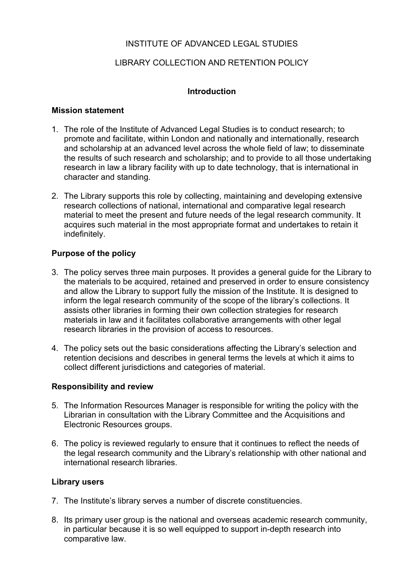# INSTITUTE OF ADVANCED LEGAL STUDIES

# LIBRARY COLLECTION AND RETENTION POLICY

### **Introduction**

#### **Mission statement**

- 1. The role of the Institute of Advanced Legal Studies is to conduct research; to promote and facilitate, within London and nationally and internationally, research and scholarship at an advanced level across the whole field of law; to disseminate the results of such research and scholarship; and to provide to all those undertaking research in law a library facility with up to date technology, that is international in character and standing.
- 2. The Library supports this role by collecting, maintaining and developing extensive research collections of national, international and comparative legal research material to meet the present and future needs of the legal research community. It acquires such material in the most appropriate format and undertakes to retain it indefinitely.

### **Purpose of the policy**

- 3. The policy serves three main purposes. It provides a general guide for the Library to the materials to be acquired, retained and preserved in order to ensure consistency and allow the Library to support fully the mission of the Institute. It is designed to inform the legal research community of the scope of the library's collections. It assists other libraries in forming their own collection strategies for research materials in law and it facilitates collaborative arrangements with other legal research libraries in the provision of access to resources.
- 4. The policy sets out the basic considerations affecting the Library's selection and retention decisions and describes in general terms the levels at which it aims to collect different jurisdictions and categories of material.

#### **Responsibility and review**

- 5. The Information Resources Manager is responsible for writing the policy with the Librarian in consultation with the Library Committee and the Acquisitions and Electronic Resources groups.
- 6. The policy is reviewed regularly to ensure that it continues to reflect the needs of the legal research community and the Library's relationship with other national and international research libraries.

#### **Library users**

- 7. The Institute's library serves a number of discrete constituencies.
- 8. Its primary user group is the national and overseas academic research community, in particular because it is so well equipped to support in-depth research into comparative law.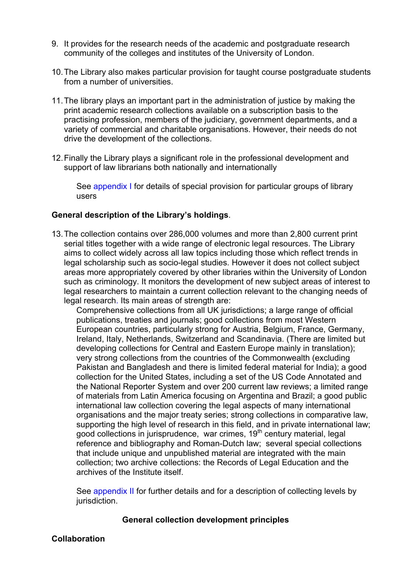- 9. It provides for the research needs of the academic and postgraduate research community of the colleges and institutes of the University of London.
- 10. The Library also makes particular provision for taught course postgraduate students from a number of universities.
- 11. The library plays an important part in the administration of justice by making the print academic research collections available on a subscription basis to the practising profession, members of the judiciary, government departments, and a variety of commercial and charitable organisations. However, their needs do not drive the development of the collections.
- 12. Finally the Library plays a significant role in the professional development and support of law librarians both nationally and internationally

See appendix I for details of special provision for particular groups of library users

#### **General description of the Library's holdings**.

13. The collection contains over 286,000 volumes and more than 2,800 current print serial titles together with a wide range of electronic legal resources. The Library aims to collect widely across all law topics including those which reflect trends in legal scholarship such as socio-legal studies. However it does not collect subject areas more appropriately covered by other libraries within the University of London such as criminology. It monitors the development of new subject areas of interest to legal researchers to maintain a current collection relevant to the changing needs of legal research. Its main areas of strength are:

Comprehensive collections from all UK jurisdictions; a large range of official publications, treaties and journals; good collections from most Western European countries, particularly strong for Austria, Belgium, France, Germany, Ireland, Italy, Netherlands, Switzerland and Scandinavia. (There are limited but developing collections for Central and Eastern Europe mainly in translation); very strong collections from the countries of the Commonwealth (excluding Pakistan and Bangladesh and there is limited federal material for India); a good collection for the United States, including a set of the US Code Annotated and the National Reporter System and over 200 current law reviews; a limited range of materials from Latin America focusing on Argentina and Brazil; a good public international law collection covering the legal aspects of many international organisations and the major treaty series; strong collections in comparative law, supporting the high level of research in this field, and in private international law; good collections in jurisprudence, war crimes, 19<sup>th</sup> century material, legal reference and bibliography and Roman-Dutch law; several special collections that include unique and unpublished material are integrated with the main collection; two archive collections: the Records of Legal Education and the archives of the Institute itself.

See appendix II for further details and for a description of collecting levels by jurisdiction.

#### **General collection development principles**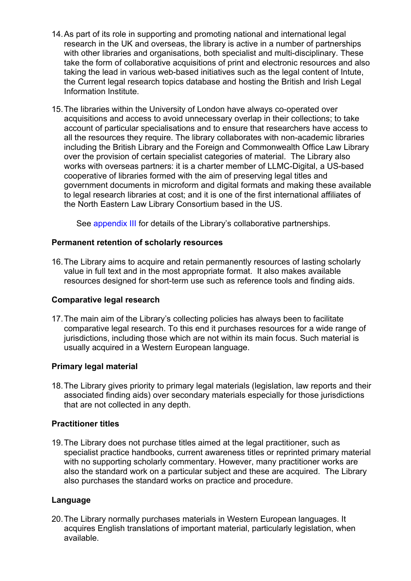- 14. As part of its role in supporting and promoting national and international legal research in the UK and overseas, the library is active in a number of partnerships with other libraries and organisations, both specialist and multi-disciplinary. These take the form of collaborative acquisitions of print and electronic resources and also taking the lead in various web-based initiatives such as the legal content of Intute, the Current legal research topics database and hosting the British and Irish Legal Information Institute.
- 15. The libraries within the University of London have always co-operated over acquisitions and access to avoid unnecessary overlap in their collections; to take account of particular specialisations and to ensure that researchers have access to all the resources they require. The library collaborates with non-academic libraries including the British Library and the Foreign and Commonwealth Office Law Library over the provision of certain specialist categories of material. The Library also works with overseas partners: it is a charter member of LLMC-Digital, a US-based cooperative of libraries formed with the aim of preserving legal titles and government documents in microform and digital formats and making these available to legal research libraries at cost; and it is one of the first international affiliates of the North Eastern Law Library Consortium based in the US.

See appendix III for details of the Library's collaborative partnerships.

### **Permanent retention of scholarly resources**

16. The Library aims to acquire and retain permanently resources of lasting scholarly value in full text and in the most appropriate format. It also makes available resources designed for short-term use such as reference tools and finding aids.

#### **Comparative legal research**

17. The main aim of the Library's collecting policies has always been to facilitate comparative legal research. To this end it purchases resources for a wide range of jurisdictions, including those which are not within its main focus. Such material is usually acquired in a Western European language.

#### **Primary legal material**

18. The Library gives priority to primary legal materials (legislation, law reports and their associated finding aids) over secondary materials especially for those jurisdictions that are not collected in any depth.

#### **Practitioner titles**

19. The Library does not purchase titles aimed at the legal practitioner, such as specialist practice handbooks, current awareness titles or reprinted primary material with no supporting scholarly commentary. However, many practitioner works are also the standard work on a particular subject and these are acquired. The Library also purchases the standard works on practice and procedure.

# **Language**

20. The Library normally purchases materials in Western European languages. It acquires English translations of important material, particularly legislation, when available.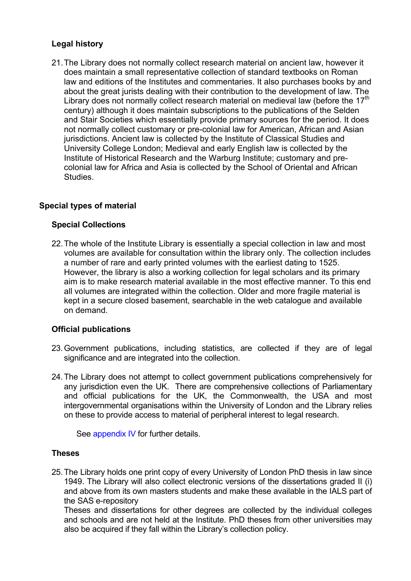# **Legal history**

21. The Library does not normally collect research material on ancient law, however it does maintain a small representative collection of standard textbooks on Roman law and editions of the Institutes and commentaries. It also purchases books by and about the great jurists dealing with their contribution to the development of law. The Library does not normally collect research material on medieval law (before the  $17<sup>th</sup>$ century) although it does maintain subscriptions to the publications of the Selden and Stair Societies which essentially provide primary sources for the period. It does not normally collect customary or pre-colonial law for American, African and Asian jurisdictions. Ancient law is collected by the Institute of Classical Studies and University College London; Medieval and early English law is collected by the Institute of Historical Research and the Warburg Institute; customary and precolonial law for Africa and Asia is collected by the School of Oriental and African Studies.

# **Special types of material**

### **Special Collections**

22. The whole of the Institute Library is essentially a special collection in law and most volumes are available for consultation within the library only. The collection includes a number of rare and early printed volumes with the earliest dating to 1525. However, the library is also a working collection for legal scholars and its primary aim is to make research material available in the most effective manner. To this end all volumes are integrated within the collection. Older and more fragile material is kept in a secure closed basement, searchable in the web catalogue and available on demand.

#### **Official publications**

- 23. Government publications, including statistics, are collected if they are of legal significance and are integrated into the collection.
- 24. The Library does not attempt to collect government publications comprehensively for any jurisdiction even the UK. There are comprehensive collections of Parliamentary and official publications for the UK, the Commonwealth, the USA and most intergovernmental organisations within the University of London and the Library relies on these to provide access to material of peripheral interest to legal research.

See appendix IV for further details.

#### **Theses**

25. The Library holds one print copy of every University of London PhD thesis in law since 1949. The Library will also collect electronic versions of the dissertations graded II (i) and above from its own masters students and make these available in the IALS part of the SAS e-repository

Theses and dissertations for other degrees are collected by the individual colleges and schools and are not held at the Institute. PhD theses from other universities may also be acquired if they fall within the Library's collection policy.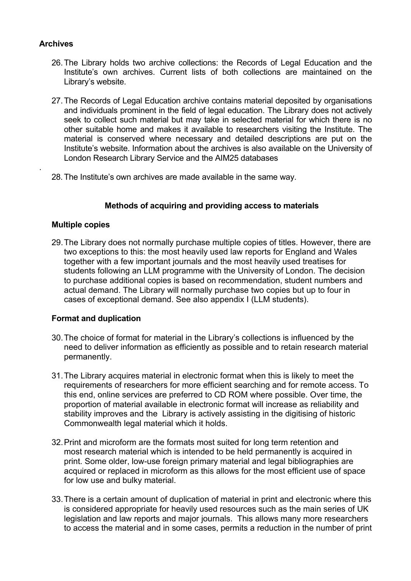### **Archives**

.

- 26. The Library holds two archive collections: the Records of Legal Education and the Institute's own archives. Current lists of both collections are maintained on the Library's website.
- 27. The Records of Legal Education archive contains material deposited by organisations and individuals prominent in the field of legal education. The Library does not actively seek to collect such material but may take in selected material for which there is no other suitable home and makes it available to researchers visiting the Institute. The material is conserved where necessary and detailed descriptions are put on the Institute's website. Information about the archives is also available on the University of London Research Library Service and the AIM25 databases
- 28. The Institute's own archives are made available in the same way.

#### **Methods of acquiring and providing access to materials**

#### **Multiple copies**

29. The Library does not normally purchase multiple copies of titles. However, there are two exceptions to this: the most heavily used law reports for England and Wales together with a few important journals and the most heavily used treatises for students following an LLM programme with the University of London. The decision to purchase additional copies is based on recommendation, student numbers and actual demand. The Library will normally purchase two copies but up to four in cases of exceptional demand. See also appendix I (LLM students).

#### **Format and duplication**

- 30. The choice of format for material in the Library's collections is influenced by the need to deliver information as efficiently as possible and to retain research material permanently.
- 31. The Library acquires material in electronic format when this is likely to meet the requirements of researchers for more efficient searching and for remote access. To this end, online services are preferred to CD ROM where possible. Over time, the proportion of material available in electronic format will increase as reliability and stability improves and the Library is actively assisting in the digitising of historic Commonwealth legal material which it holds.
- 32. Print and microform are the formats most suited for long term retention and most research material which is intended to be held permanently is acquired in print. Some older, low-use foreign primary material and legal bibliographies are acquired or replaced in microform as this allows for the most efficient use of space for low use and bulky material.
- 33. There is a certain amount of duplication of material in print and electronic where this is considered appropriate for heavily used resources such as the main series of UK legislation and law reports and major journals. This allows many more researchers to access the material and in some cases, permits a reduction in the number of print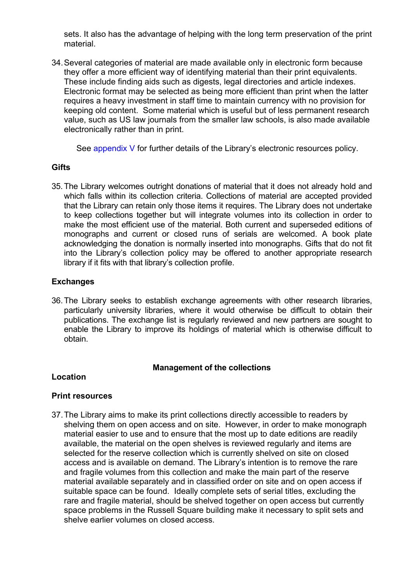sets. It also has the advantage of helping with the long term preservation of the print material.

34. Several categories of material are made available only in electronic form because they offer a more efficient way of identifying material than their print equivalents. These include finding aids such as digests, legal directories and article indexes. Electronic format may be selected as being more efficient than print when the latter requires a heavy investment in staff time to maintain currency with no provision for keeping old content. Some material which is useful but of less permanent research value, such as US law journals from the smaller law schools, is also made available electronically rather than in print.

See appendix V for further details of the Library's electronic resources policy.

#### **Gifts**

35. The Library welcomes outright donations of material that it does not already hold and which falls within its collection criteria. Collections of material are accepted provided that the Library can retain only those items it requires. The Library does not undertake to keep collections together but will integrate volumes into its collection in order to make the most efficient use of the material. Both current and superseded editions of monographs and current or closed runs of serials are welcomed. A book plate acknowledging the donation is normally inserted into monographs. Gifts that do not fit into the Library's collection policy may be offered to another appropriate research library if it fits with that library's collection profile.

### **Exchanges**

36. The Library seeks to establish exchange agreements with other research libraries, particularly university libraries, where it would otherwise be difficult to obtain their publications. The exchange list is regularly reviewed and new partners are sought to enable the Library to improve its holdings of material which is otherwise difficult to obtain.

#### **Management of the collections**

#### **Location**

#### **Print resources**

37. The Library aims to make its print collections directly accessible to readers by shelving them on open access and on site. However, in order to make monograph material easier to use and to ensure that the most up to date editions are readily available, the material on the open shelves is reviewed regularly and items are selected for the reserve collection which is currently shelved on site on closed access and is available on demand. The Library's intention is to remove the rare and fragile volumes from this collection and make the main part of the reserve material available separately and in classified order on site and on open access if suitable space can be found. Ideally complete sets of serial titles, excluding the rare and fragile material, should be shelved together on open access but currently space problems in the Russell Square building make it necessary to split sets and shelve earlier volumes on closed access.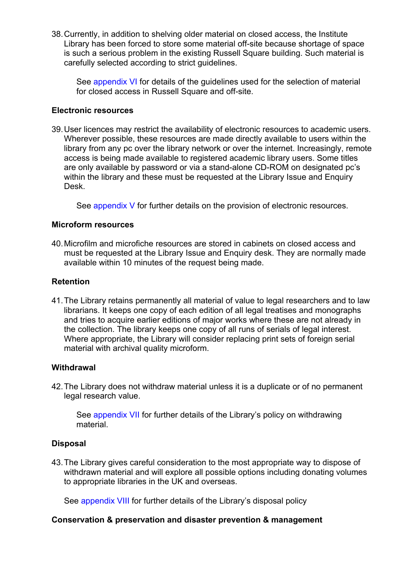38. Currently, in addition to shelving older material on closed access, the Institute Library has been forced to store some material off-site because shortage of space is such a serious problem in the existing Russell Square building. Such material is carefully selected according to strict guidelines.

See appendix VI for details of the guidelines used for the selection of material for closed access in Russell Square and off-site.

#### **Electronic resources**

39. User licences may restrict the availability of electronic resources to academic users. Wherever possible, these resources are made directly available to users within the library from any pc over the library network or over the internet. Increasingly, remote access is being made available to registered academic library users. Some titles are only available by password or via a stand-alone CD-ROM on designated pc's within the library and these must be requested at the Library Issue and Enquiry Desk.

See appendix V for further details on the provision of electronic resources.

#### **Microform resources**

40. Microfilm and microfiche resources are stored in cabinets on closed access and must be requested at the Library Issue and Enquiry desk. They are normally made available within 10 minutes of the request being made.

#### **Retention**

41. The Library retains permanently all material of value to legal researchers and to law librarians. It keeps one copy of each edition of all legal treatises and monographs and tries to acquire earlier editions of major works where these are not already in the collection. The library keeps one copy of all runs of serials of legal interest. Where appropriate, the Library will consider replacing print sets of foreign serial material with archival quality microform.

#### **Withdrawal**

42. The Library does not withdraw material unless it is a duplicate or of no permanent legal research value.

See appendix VII for further details of the Library's policy on withdrawing material.

#### **Disposal**

43. The Library gives careful consideration to the most appropriate way to dispose of withdrawn material and will explore all possible options including donating volumes to appropriate libraries in the UK and overseas.

See appendix VIII for further details of the Library's disposal policy

#### **Conservation & preservation and disaster prevention & management**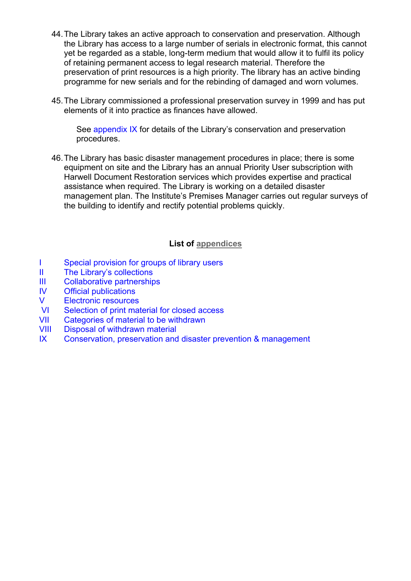- 44. The Library takes an active approach to conservation and preservation. Although the Library has access to a large number of serials in electronic format, this cannot yet be regarded as a stable, long-term medium that would allow it to fulfil its policy of retaining permanent access to legal research material. Therefore the preservation of print resources is a high priority. The library has an active binding programme for new serials and for the rebinding of damaged and worn volumes.
- 45. The Library commissioned a professional preservation survey in 1999 and has put elements of it into practice as finances have allowed.

See appendix IX for details of the Library's conservation and preservation procedures.

46. The Library has basic disaster management procedures in place; there is some equipment on site and the Library has an annual Priority User subscription with Harwell Document Restoration services which provides expertise and practical assistance when required. The Library is working on a detailed disaster management plan. The Institute's Premises Manager carries out regular surveys of the building to identify and rectify potential problems quickly.

### **List of appendices**

- I Special provision for groups of library users
- II The Library's collections
- III Collaborative partnerships
- IV Official publications
- V Electronic resources
- VI Selection of print material for closed access
- VII Categories of material to be withdrawn
- VIII Disposal of withdrawn material
- IX Conservation, preservation and disaster prevention & management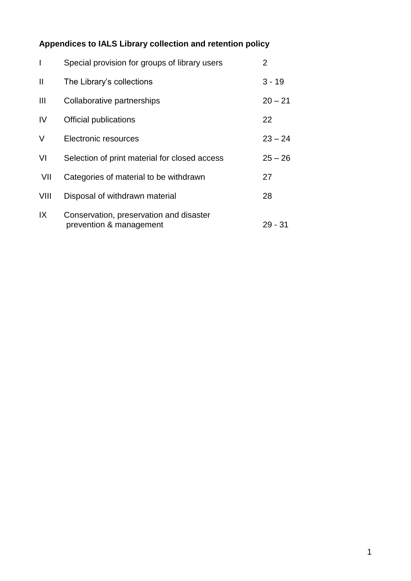# **Appendices to IALS Library collection and retention policy**

| $\overline{\phantom{a}}$ | Special provision for groups of library users                      | $\mathbf{2}^{\mathsf{I}}$ |
|--------------------------|--------------------------------------------------------------------|---------------------------|
| $\mathbf{I}$             | The Library's collections                                          | $3 - 19$                  |
| $\mathbf{III}$           | Collaborative partnerships                                         | $20 - 21$                 |
| IV                       | Official publications                                              | 22                        |
| V                        | Electronic resources                                               | $23 - 24$                 |
| VI                       | Selection of print material for closed access                      | $25 - 26$                 |
| VII                      | Categories of material to be withdrawn                             | 27                        |
| VIII                     | Disposal of withdrawn material                                     | 28                        |
| IX                       | Conservation, preservation and disaster<br>prevention & management | 29 - 31                   |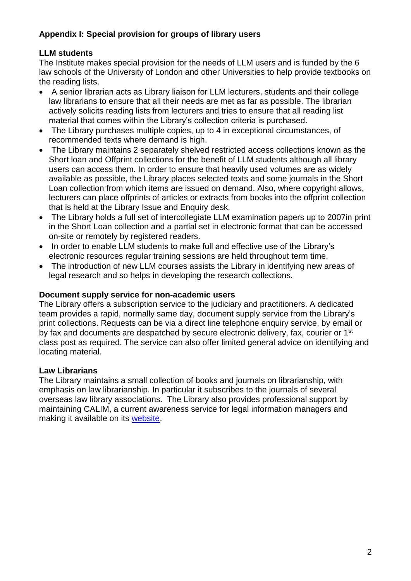# **Appendix I: Special provision for groups of library users**

# **LLM students**

The Institute makes special provision for the needs of LLM users and is funded by the 6 law schools of the University of London and other Universities to help provide textbooks on the reading lists.

- A senior librarian acts as Library liaison for LLM lecturers, students and their college law librarians to ensure that all their needs are met as far as possible. The librarian actively solicits reading lists from lecturers and tries to ensure that all reading list material that comes within the Library's collection criteria is purchased.
- The Library purchases multiple copies, up to 4 in exceptional circumstances, of recommended texts where demand is high.
- The Library maintains 2 separately shelved restricted access collections known as the Short loan and Offprint collections for the benefit of LLM students although all library users can access them. In order to ensure that heavily used volumes are as widely available as possible, the Library places selected texts and some journals in the Short Loan collection from which items are issued on demand. Also, where copyright allows, lecturers can place offprints of articles or extracts from books into the offprint collection that is held at the Library Issue and Enquiry desk.
- The Library holds a full set of intercollegiate LLM examination papers up to 2007in print in the Short Loan collection and a partial set in electronic format that can be accessed on-site or remotely by registered readers.
- In order to enable LLM students to make full and effective use of the Library's electronic resources regular training sessions are held throughout term time.
- The introduction of new LLM courses assists the Library in identifying new areas of legal research and so helps in developing the research collections.

# **Document supply service for non-academic users**

The Library offers a subscription service to the judiciary and practitioners. A dedicated team provides a rapid, normally same day, document supply service from the Library's print collections. Requests can be via a direct line telephone enquiry service, by email or by fax and documents are despatched by secure electronic delivery, fax, courier or 1<sup>st</sup> class post as required. The service can also offer limited general advice on identifying and locating material.

# **Law Librarians**

The Library maintains a small collection of books and journals on librarianship, with emphasis on law librarianship. In particular it subscribes to the journals of several overseas law library associations. The Library also provides professional support by maintaining CALIM, a current awareness service for legal information managers and making it available on its [website.](http://ials.sas.ac.uk/)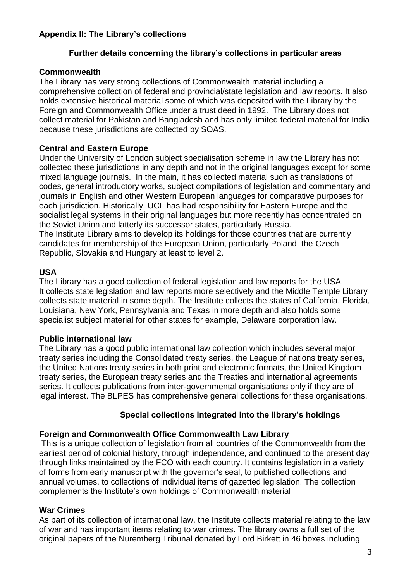# **Appendix II: The Library's collections**

# **Further details concerning the library's collections in particular areas**

# **Commonwealth**

The Library has very strong collections of Commonwealth material including a comprehensive collection of federal and provincial/state legislation and law reports. It also holds extensive historical material some of which was deposited with the Library by the Foreign and Commonwealth Office under a trust deed in 1992. The Library does not collect material for Pakistan and Bangladesh and has only limited federal material for India because these jurisdictions are collected by SOAS.

# **Central and Eastern Europe**

Under the University of London subject specialisation scheme in law the Library has not collected these jurisdictions in any depth and not in the original languages except for some mixed language journals. In the main, it has collected material such as translations of codes, general introductory works, subject compilations of legislation and commentary and journals in English and other Western European languages for comparative purposes for each jurisdiction. Historically, UCL has had responsibility for Eastern Europe and the socialist legal systems in their original languages but more recently has concentrated on the Soviet Union and latterly its successor states, particularly Russia.

The Institute Library aims to develop its holdings for those countries that are currently candidates for membership of the European Union, particularly Poland, the Czech Republic, Slovakia and Hungary at least to level 2.

# **USA**

The Library has a good collection of federal legislation and law reports for the USA. It collects state legislation and law reports more selectively and the Middle Temple Library collects state material in some depth. The Institute collects the states of California, Florida, Louisiana, New York, Pennsylvania and Texas in more depth and also holds some specialist subject material for other states for example, Delaware corporation law.

# **Public international law**

The Library has a good public international law collection which includes several major treaty series including the Consolidated treaty series, the League of nations treaty series, the United Nations treaty series in both print and electronic formats, the United Kingdom treaty series, the European treaty series and the Treaties and international agreements series. It collects publications from inter-governmental organisations only if they are of legal interest. The BLPES has comprehensive general collections for these organisations.

# **Special collections integrated into the library's holdings**

# **Foreign and Commonwealth Office Commonwealth Law Library**

This is a unique collection of legislation from all countries of the Commonwealth from the earliest period of colonial history, through independence, and continued to the present day through links maintained by the FCO with each country. It contains legislation in a variety of forms from early manuscript with the governor's seal, to published collections and annual volumes, to collections of individual items of gazetted legislation. The collection complements the Institute's own holdings of Commonwealth material

# **War Crimes**

As part of its collection of international law, the Institute collects material relating to the law of war and has important items relating to war crimes. The library owns a full set of the original papers of the Nuremberg Tribunal donated by Lord Birkett in 46 boxes including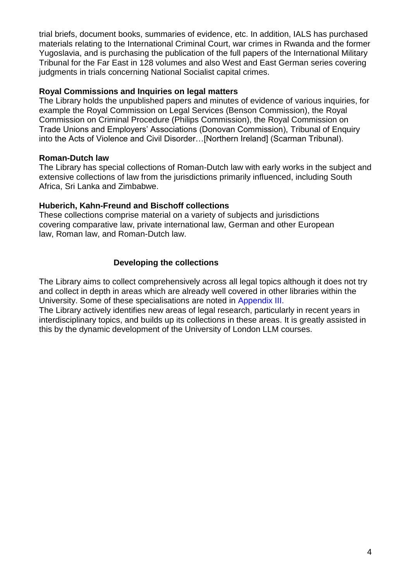trial briefs, document books, summaries of evidence, etc. In addition, IALS has purchased materials relating to the International Criminal Court, war crimes in Rwanda and the former Yugoslavia, and is purchasing the publication of the full papers of the International Military Tribunal for the Far East in 128 volumes and also West and East German series covering judgments in trials concerning National Socialist capital crimes.

#### **Royal Commissions and Inquiries on legal matters**

The Library holds the unpublished papers and minutes of evidence of various inquiries, for example the Royal Commission on Legal Services (Benson Commission), the Royal Commission on Criminal Procedure (Philips Commission), the Royal Commission on Trade Unions and Employers' Associations (Donovan Commission), Tribunal of Enquiry into the Acts of Violence and Civil Disorder…[Northern Ireland] (Scarman Tribunal).

### **Roman-Dutch law**

The Library has special collections of Roman-Dutch law with early works in the subject and extensive collections of law from the jurisdictions primarily influenced, including South Africa, Sri Lanka and Zimbabwe.

### **Huberich, Kahn-Freund and Bischoff collections**

These collections comprise material on a variety of subjects and jurisdictions covering comparative law, private international law, German and other European law, Roman law, and Roman-Dutch law.

# **Developing the collections**

The Library aims to collect comprehensively across all legal topics although it does not try and collect in depth in areas which are already well covered in other libraries within the University. Some of these specialisations are noted in Appendix III.

The Library actively identifies new areas of legal research, particularly in recent years in interdisciplinary topics, and builds up its collections in these areas. It is greatly assisted in this by the dynamic development of the University of London LLM courses.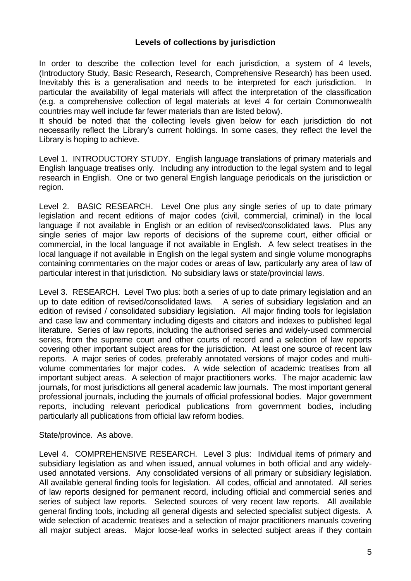#### **Levels of collections by jurisdiction**

In order to describe the collection level for each jurisdiction, a system of 4 levels, (Introductory Study, Basic Research, Research, Comprehensive Research) has been used. Inevitably this is a generalisation and needs to be interpreted for each jurisdiction. In particular the availability of legal materials will affect the interpretation of the classification (e.g. a comprehensive collection of legal materials at level 4 for certain Commonwealth countries may well include far fewer materials than are listed below).

It should be noted that the collecting levels given below for each jurisdiction do not necessarily reflect the Library's current holdings. In some cases, they reflect the level the Library is hoping to achieve.

Level 1. INTRODUCTORY STUDY. English language translations of primary materials and English language treatises only. Including any introduction to the legal system and to legal research in English. One or two general English language periodicals on the jurisdiction or region.

Level 2. BASIC RESEARCH. Level One plus any single series of up to date primary legislation and recent editions of major codes (civil, commercial, criminal) in the local language if not available in English or an edition of revised/consolidated laws. Plus any single series of major law reports of decisions of the supreme court, either official or commercial, in the local language if not available in English. A few select treatises in the local language if not available in English on the legal system and single volume monographs containing commentaries on the major codes or areas of law, particularly any area of law of particular interest in that jurisdiction. No subsidiary laws or state/provincial laws.

Level 3. RESEARCH. Level Two plus: both a series of up to date primary legislation and an up to date edition of revised/consolidated laws. A series of subsidiary legislation and an edition of revised / consolidated subsidiary legislation. All major finding tools for legislation and case law and commentary including digests and citators and indexes to published legal literature. Series of law reports, including the authorised series and widely-used commercial series, from the supreme court and other courts of record and a selection of law reports covering other important subject areas for the jurisdiction. At least one source of recent law reports. A major series of codes, preferably annotated versions of major codes and multivolume commentaries for major codes. A wide selection of academic treatises from all important subject areas. A selection of major practitioners works. The major academic law journals, for most jurisdictions all general academic law journals. The most important general professional journals, including the journals of official professional bodies. Major government reports, including relevant periodical publications from government bodies, including particularly all publications from official law reform bodies.

#### State/province. As above.

Level 4. COMPREHENSIVE RESEARCH. Level 3 plus: Individual items of primary and subsidiary legislation as and when issued, annual volumes in both official and any widelyused annotated versions. Any consolidated versions of all primary or subsidiary legislation. All available general finding tools for legislation. All codes, official and annotated. All series of law reports designed for permanent record, including official and commercial series and series of subject law reports. Selected sources of very recent law reports. All available general finding tools, including all general digests and selected specialist subject digests. A wide selection of academic treatises and a selection of major practitioners manuals covering all major subject areas. Major loose-leaf works in selected subject areas if they contain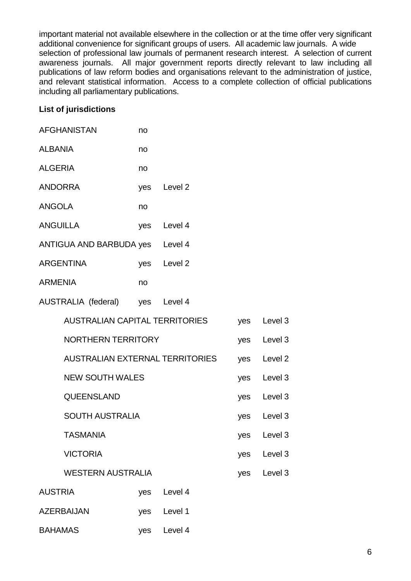important material not available elsewhere in the collection or at the time offer very significant additional convenience for significant groups of users. All academic law journals. A wide selection of professional law journals of permanent research interest. A selection of current awareness journals. All major government reports directly relevant to law including all publications of law reform bodies and organisations relevant to the administration of justice, and relevant statistical information. Access to a complete collection of official publications including all parliamentary publications.

### **List of jurisdictions**

|                 | <b>AFGHANISTAN</b>                     | no  |             |     |                    |
|-----------------|----------------------------------------|-----|-------------|-----|--------------------|
| <b>ALBANIA</b>  |                                        | no  |             |     |                    |
| <b>ALGERIA</b>  |                                        | no  |             |     |                    |
| <b>ANDORRA</b>  |                                        |     | yes Level 2 |     |                    |
| <b>ANGOLA</b>   |                                        | no  |             |     |                    |
| <b>ANGUILLA</b> |                                        |     | yes Level 4 |     |                    |
|                 | ANTIGUA AND BARBUDA yes Level 4        |     |             |     |                    |
|                 | <b>ARGENTINA</b>                       |     | yes Level 2 |     |                    |
| <b>ARMENIA</b>  |                                        | no  |             |     |                    |
|                 | AUSTRALIA (federal) yes Level 4        |     |             |     |                    |
|                 | <b>AUSTRALIAN CAPITAL TERRITORIES</b>  |     |             |     | yes Level 3        |
|                 | <b>NORTHERN TERRITORY</b>              |     |             |     | yes Level 3        |
|                 | <b>AUSTRALIAN EXTERNAL TERRITORIES</b> |     |             | yes | Level <sub>2</sub> |
|                 | <b>NEW SOUTH WALES</b>                 |     |             |     | yes Level 3        |
|                 | QUEENSLAND                             |     |             |     | yes Level 3        |
|                 | <b>SOUTH AUSTRALIA</b>                 |     |             |     | yes Level 3        |
|                 | <b>TASMANIA</b>                        |     |             |     | yes Level 3        |
|                 | <b>VICTORIA</b>                        |     |             | yes | Level <sub>3</sub> |
|                 | <b>WESTERN AUSTRALIA</b>               |     |             | yes | Level <sub>3</sub> |
| <b>AUSTRIA</b>  |                                        | yes | Level 4     |     |                    |
|                 | <b>AZERBAIJAN</b>                      |     | yes Level 1 |     |                    |
| <b>BAHAMAS</b>  |                                        | yes | Level 4     |     |                    |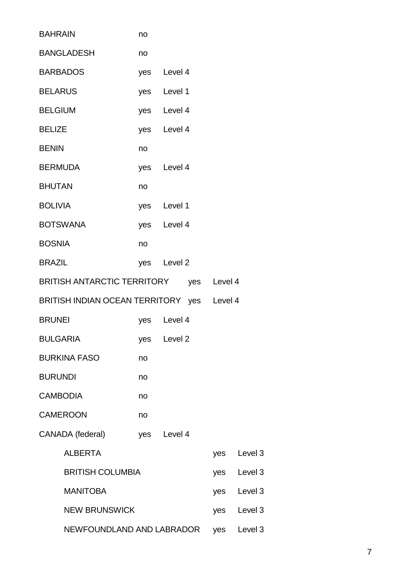| <b>BAHRAIN</b>                          |                                            | no |             |     |                    |
|-----------------------------------------|--------------------------------------------|----|-------------|-----|--------------------|
|                                         | <b>BANGLADESH</b>                          | no |             |     |                    |
|                                         | <b>BARBADOS</b>                            |    | yes Level 4 |     |                    |
| <b>BELARUS</b>                          |                                            |    | yes Level 1 |     |                    |
| <b>BELGIUM</b>                          |                                            |    | yes Level 4 |     |                    |
| <b>BELIZE</b>                           |                                            |    | yes Level 4 |     |                    |
| <b>BENIN</b>                            |                                            | no |             |     |                    |
| <b>BERMUDA</b>                          |                                            |    | yes Level 4 |     |                    |
| <b>BHUTAN</b>                           |                                            | no |             |     |                    |
| <b>BOLIVIA</b>                          |                                            |    | yes Level 1 |     |                    |
| <b>BOTSWANA</b>                         |                                            |    | yes Level 4 |     |                    |
| <b>BOSNIA</b>                           |                                            | no |             |     |                    |
| <b>BRAZIL</b>                           |                                            |    | yes Level 2 |     |                    |
| BRITISH ANTARCTIC TERRITORY yes Level 4 |                                            |    |             |     |                    |
|                                         | BRITISH INDIAN OCEAN TERRITORY yes Level 4 |    |             |     |                    |
| <b>BRUNEI</b>                           |                                            |    | yes Level 4 |     |                    |
| <b>BULGARIA</b>                         |                                            |    | yes Level 2 |     |                    |
|                                         | <b>BURKINA FASO</b>                        | no |             |     |                    |
| <b>BURUNDI</b>                          |                                            | no |             |     |                    |
|                                         | <b>CAMBODIA</b>                            | no |             |     |                    |
|                                         | <b>CAMEROON</b>                            | no |             |     |                    |
|                                         | CANADA (federal)                           |    | yes Level 4 |     |                    |
|                                         | <b>ALBERTA</b>                             |    |             | yes | Level 3            |
|                                         | <b>BRITISH COLUMBIA</b>                    |    |             | yes | Level <sub>3</sub> |
|                                         | <b>MANITOBA</b>                            |    |             | yes | Level 3            |
|                                         | <b>NEW BRUNSWICK</b>                       |    |             | yes | Level 3            |
|                                         | NEWFOUNDLAND AND LABRADOR                  |    |             | yes | Level <sub>3</sub> |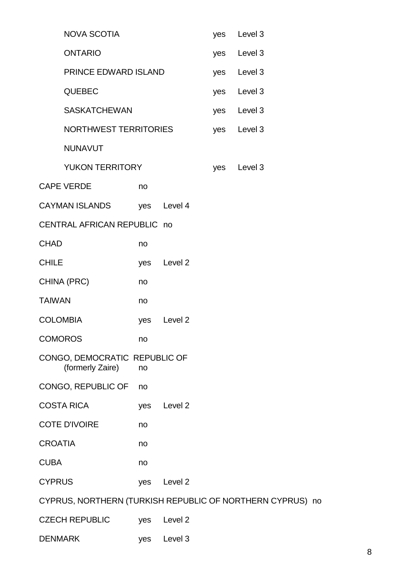| <b>NOVA SCOTIA</b>                                        |     |                    | yes | Level 3     |  |
|-----------------------------------------------------------|-----|--------------------|-----|-------------|--|
| <b>ONTARIO</b>                                            |     |                    | yes | Level 3     |  |
| PRINCE EDWARD ISLAND                                      |     |                    | yes | Level 3     |  |
| <b>QUEBEC</b>                                             |     |                    |     | Level 3     |  |
| <b>SASKATCHEWAN</b>                                       |     |                    | yes | Level 3     |  |
| <b>NORTHWEST TERRITORIES</b>                              |     |                    |     | yes Level 3 |  |
| <b>NUNAVUT</b>                                            |     |                    |     |             |  |
| <b>YUKON TERRITORY</b>                                    |     |                    | yes | Level 3     |  |
| <b>CAPE VERDE</b>                                         | no  |                    |     |             |  |
| <b>CAYMAN ISLANDS</b>                                     |     | yes Level 4        |     |             |  |
| CENTRAL AFRICAN REPUBLIC no                               |     |                    |     |             |  |
| <b>CHAD</b>                                               | no  |                    |     |             |  |
| <b>CHILE</b>                                              | yes | Level 2            |     |             |  |
| CHINA (PRC)                                               | no  |                    |     |             |  |
| <b>TAIWAN</b>                                             | no  |                    |     |             |  |
| <b>COLOMBIA</b>                                           | yes | Level 2            |     |             |  |
| <b>COMOROS</b>                                            | no  |                    |     |             |  |
| CONGO, DEMOCRATIC REPUBLIC OF<br>(formerly Zaire)         | no  |                    |     |             |  |
| CONGO, REPUBLIC OF                                        | no  |                    |     |             |  |
| <b>COSTA RICA</b>                                         | yes | Level 2            |     |             |  |
| <b>COTE D'IVOIRE</b>                                      | no  |                    |     |             |  |
| <b>CROATIA</b>                                            | no  |                    |     |             |  |
| <b>CUBA</b>                                               | no  |                    |     |             |  |
| <b>CYPRUS</b>                                             | yes | Level <sub>2</sub> |     |             |  |
| CYPRUS, NORTHERN (TURKISH REPUBLIC OF NORTHERN CYPRUS) no |     |                    |     |             |  |
| <b>CZECH REPUBLIC</b>                                     | yes | Level 2            |     |             |  |
| <b>DENMARK</b>                                            | yes | Level 3            |     |             |  |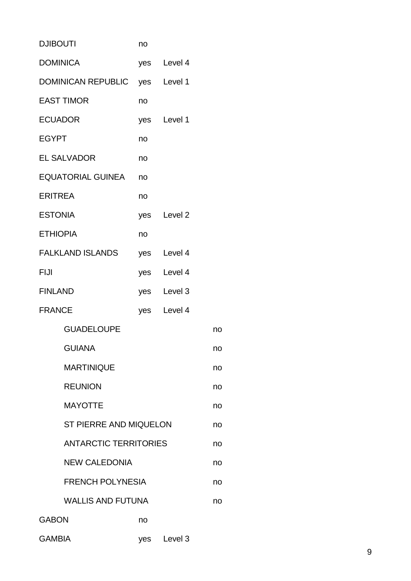| <b>DJIBOUTI</b> |                                | no |             |    |
|-----------------|--------------------------------|----|-------------|----|
|                 | <b>DOMINICA</b>                |    | yes Level 4 |    |
|                 | DOMINICAN REPUBLIC yes Level 1 |    |             |    |
|                 | <b>EAST TIMOR</b>              | no |             |    |
|                 | <b>ECUADOR</b>                 |    | yes Level 1 |    |
| <b>EGYPT</b>    |                                | no |             |    |
|                 | <b>EL SALVADOR</b>             | no |             |    |
|                 | EQUATORIAL GUINEA              | no |             |    |
| <b>ERITREA</b>  |                                | no |             |    |
| <b>ESTONIA</b>  |                                |    | yes Level 2 |    |
|                 | <b>ETHIOPIA</b>                | no |             |    |
|                 | <b>FALKLAND ISLANDS</b>        |    | yes Level 4 |    |
| FIJI            |                                |    | yes Level 4 |    |
| <b>FINLAND</b>  |                                |    | yes Level 3 |    |
| <b>FRANCE</b>   |                                |    | yes Level 4 |    |
|                 | <b>GUADELOUPE</b>              |    |             | no |
|                 | <b>GUIANA</b>                  |    |             | no |
|                 | <b>MARTINIQUE</b>              |    |             | no |
|                 | <b>REUNION</b>                 |    |             | no |
|                 | <b>MAYOTTE</b>                 |    |             | no |
|                 | ST PIERRE AND MIQUELON         |    |             | no |
|                 | <b>ANTARCTIC TERRITORIES</b>   |    |             | no |
|                 | <b>NEW CALEDONIA</b>           |    |             | no |
|                 | <b>FRENCH POLYNESIA</b>        |    |             | no |
|                 | <b>WALLIS AND FUTUNA</b>       |    |             | no |
| GABON           |                                | no |             |    |
| <b>GAMBIA</b>   |                                |    | yes Level 3 |    |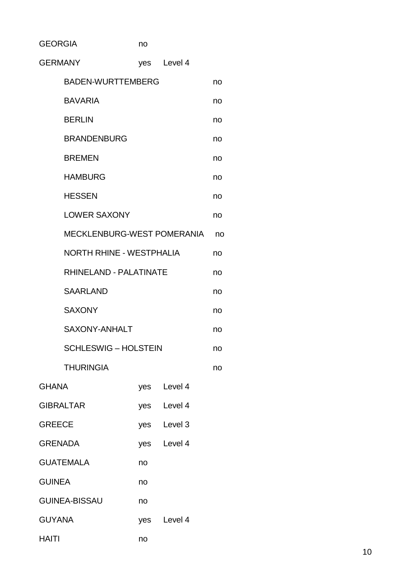GEORGIA no

| <b>GERMANY</b>                  |                             |     | ves Level 4 |    |  |  |
|---------------------------------|-----------------------------|-----|-------------|----|--|--|
|                                 | <b>BADEN-WURTTEMBERG</b>    |     |             | no |  |  |
|                                 | <b>BAVARIA</b>              |     |             | no |  |  |
|                                 | <b>BERLIN</b>               |     |             | no |  |  |
|                                 | <b>BRANDENBURG</b>          |     |             | no |  |  |
|                                 | <b>BREMEN</b>               |     |             | no |  |  |
|                                 | <b>HAMBURG</b>              |     |             | no |  |  |
| <b>HESSEN</b>                   |                             |     |             |    |  |  |
|                                 | <b>LOWER SAXONY</b>         |     |             | no |  |  |
| MECKLENBURG-WEST POMERANIA      |                             |     |             |    |  |  |
| <b>NORTH RHINE - WESTPHALIA</b> |                             |     |             |    |  |  |
| RHINELAND - PALATINATE          |                             |     |             |    |  |  |
| <b>SAARLAND</b>                 |                             |     |             |    |  |  |
|                                 | <b>SAXONY</b>               |     |             | no |  |  |
|                                 | <b>SAXONY-ANHALT</b>        |     |             | no |  |  |
|                                 | <b>SCHLESWIG - HOLSTEIN</b> |     |             | no |  |  |
|                                 | <b>THURINGIA</b>            |     |             | no |  |  |
| <b>GHANA</b>                    |                             | yes | Level 4     |    |  |  |
|                                 | <b>GIBRALTAR</b>            |     | yes Level 4 |    |  |  |
| <b>GREECE</b>                   |                             |     | yes Level 3 |    |  |  |
| <b>GRENADA</b><br>yes Level 4   |                             |     |             |    |  |  |
|                                 | <b>GUATEMALA</b>            | no  |             |    |  |  |
| <b>GUINEA</b>                   |                             | no  |             |    |  |  |
|                                 | <b>GUINEA-BISSAU</b>        | no  |             |    |  |  |
| <b>GUYANA</b>                   |                             |     | yes Level 4 |    |  |  |
| <b>HAITI</b>                    |                             | no  |             |    |  |  |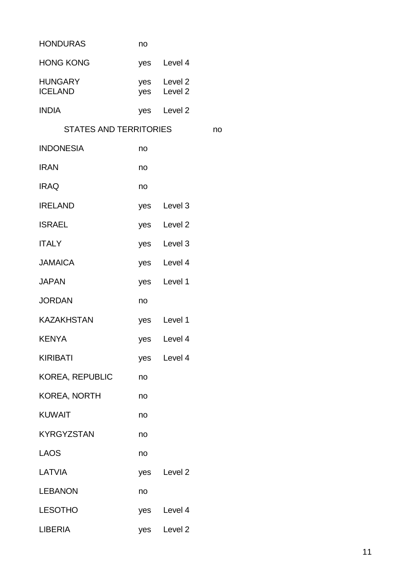| <b>HONDURAS</b>                  | no  |                            |    |
|----------------------------------|-----|----------------------------|----|
| <b>HONG KONG</b>                 |     | yes Level 4                |    |
| <b>HUNGARY</b><br><b>ICELAND</b> |     | yes Level 2<br>yes Level 2 |    |
| <b>INDIA</b>                     |     | yes Level 2                |    |
| STATES AND TERRITORIES           |     |                            | no |
| <b>INDONESIA</b>                 | no  |                            |    |
| <b>IRAN</b>                      | no  |                            |    |
| <b>IRAQ</b>                      | no  |                            |    |
| <b>IRELAND</b>                   |     | yes Level 3                |    |
| <b>ISRAEL</b>                    |     | yes Level 2                |    |
| <b>ITALY</b>                     |     | yes Level 3                |    |
| <b>JAMAICA</b>                   |     | yes Level 4                |    |
| <b>JAPAN</b>                     |     | yes Level 1                |    |
| <b>JORDAN</b>                    | no  |                            |    |
| <b>KAZAKHSTAN</b>                |     | yes Level 1                |    |
| <b>KENYA</b>                     |     | yes Level 4                |    |
| <b>KIRIBATI</b>                  |     | yes Level 4                |    |
| <b>KOREA, REPUBLIC</b>           | no  |                            |    |
| <b>KOREA, NORTH</b>              | no  |                            |    |
| <b>KUWAIT</b>                    | no  |                            |    |
| <b>KYRGYZSTAN</b>                | no  |                            |    |
| <b>LAOS</b>                      | no  |                            |    |
| LATVIA                           |     | yes Level 2                |    |
| <b>LEBANON</b>                   | no  |                            |    |
| <b>LESOTHO</b>                   |     | yes Level 4                |    |
| <b>LIBERIA</b>                   | yes | Level <sub>2</sub>         |    |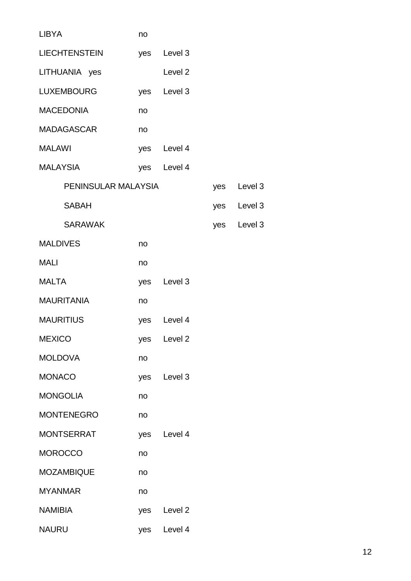| <b>LIBYA</b>         | no  |                    |     |         |
|----------------------|-----|--------------------|-----|---------|
| <b>LIECHTENSTEIN</b> | yes | Level 3            |     |         |
| LITHUANIA yes        |     | Level <sub>2</sub> |     |         |
| <b>LUXEMBOURG</b>    |     | yes Level 3        |     |         |
| <b>MACEDONIA</b>     | no  |                    |     |         |
| <b>MADAGASCAR</b>    | no  |                    |     |         |
| <b>MALAWI</b>        |     | yes Level 4        |     |         |
| <b>MALAYSIA</b>      |     | yes Level 4        |     |         |
| PENINSULAR MALAYSIA  |     |                    | yes | Level 3 |
| <b>SABAH</b>         |     |                    | yes | Level 3 |
| <b>SARAWAK</b>       |     |                    | yes | Level 3 |
| <b>MALDIVES</b>      | no  |                    |     |         |
| <b>MALI</b>          | no  |                    |     |         |
| <b>MALTA</b>         |     | yes Level 3        |     |         |
| <b>MAURITANIA</b>    | no  |                    |     |         |
| <b>MAURITIUS</b>     |     | yes Level 4        |     |         |
| <b>MEXICO</b>        |     | yes Level 2        |     |         |
| <b>MOLDOVA</b>       | no  |                    |     |         |
| <b>MONACO</b>        | yes | Level 3            |     |         |
| <b>MONGOLIA</b>      | no  |                    |     |         |
| <b>MONTENEGRO</b>    | no  |                    |     |         |
| <b>MONTSERRAT</b>    | yes | Level 4            |     |         |
| <b>MOROCCO</b>       | no  |                    |     |         |
| <b>MOZAMBIQUE</b>    | no  |                    |     |         |
| <b>MYANMAR</b>       | no  |                    |     |         |
| <b>NAMIBIA</b>       | yes | Level <sub>2</sub> |     |         |
| <b>NAURU</b>         | yes | Level 4            |     |         |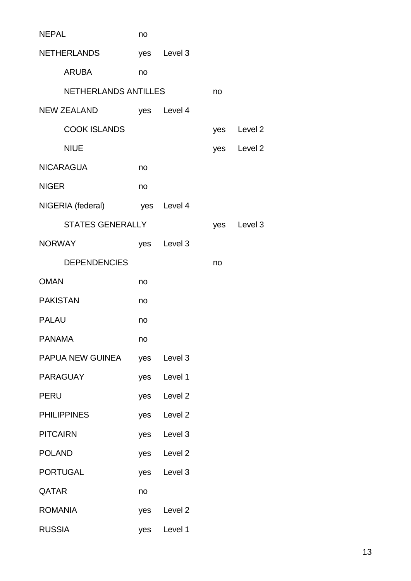| <b>NEPAL</b>                  | no  |             |     |             |
|-------------------------------|-----|-------------|-----|-------------|
| <b>NETHERLANDS</b>            |     | yes Level 3 |     |             |
| ARUBA                         | no  |             |     |             |
| <b>NETHERLANDS ANTILLES</b>   |     |             | no  |             |
| NEW ZEALAND                   |     | yes Level 4 |     |             |
| <b>COOK ISLANDS</b>           |     |             | yes | Level 2     |
| <b>NIUE</b>                   |     |             |     | yes Level 2 |
| <b>NICARAGUA</b>              | no  |             |     |             |
| <b>NIGER</b>                  | no  |             |     |             |
| NIGERIA (federal) yes Level 4 |     |             |     |             |
| <b>STATES GENERALLY</b>       |     |             | yes | Level 3     |
| <b>NORWAY</b>                 |     | yes Level 3 |     |             |
| <b>DEPENDENCIES</b>           |     |             | no  |             |
| <b>OMAN</b>                   | no  |             |     |             |
| <b>PAKISTAN</b>               | no  |             |     |             |
| <b>PALAU</b>                  | no  |             |     |             |
| <b>PANAMA</b>                 | no  |             |     |             |
| PAPUA NEW GUINEA              | yes | Level 3     |     |             |
| <b>PARAGUAY</b>               | yes | Level 1     |     |             |
| <b>PERU</b>                   | yes | Level 2     |     |             |
| <b>PHILIPPINES</b>            | yes | Level 2     |     |             |
| <b>PITCAIRN</b>               | yes | Level 3     |     |             |
| <b>POLAND</b>                 | yes | Level 2     |     |             |
| <b>PORTUGAL</b>               | yes | Level 3     |     |             |
| QATAR                         | no  |             |     |             |
| <b>ROMANIA</b>                | yes | Level 2     |     |             |
| <b>RUSSIA</b>                 | yes | Level 1     |     |             |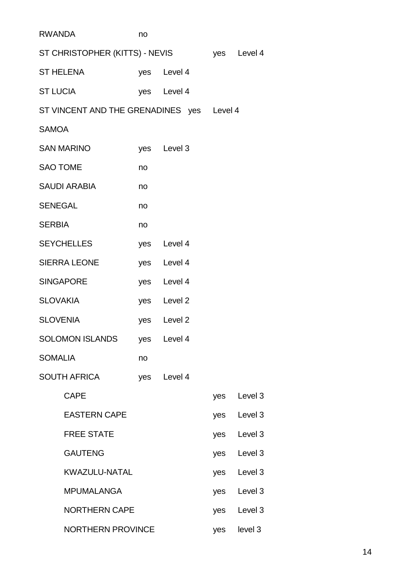| <b>RWANDA</b>                              |                                           | no |             |     |         |
|--------------------------------------------|-------------------------------------------|----|-------------|-----|---------|
| ST CHRISTOPHER (KITTS) - NEVIS yes Level 4 |                                           |    |             |     |         |
|                                            | ST HELENA <b>STRA</b>                     |    | yes Level 4 |     |         |
|                                            | <b>ST LUCIA</b>                           |    | yes Level 4 |     |         |
|                                            | ST VINCENT AND THE GRENADINES yes Level 4 |    |             |     |         |
| <b>SAMOA</b>                               |                                           |    |             |     |         |
|                                            | SAN MARINO                                |    | yes Level 3 |     |         |
|                                            | <b>SAO TOME</b>                           | no |             |     |         |
|                                            | SAUDI ARABIA                              | no |             |     |         |
| <b>SENEGAL</b>                             |                                           | no |             |     |         |
| <b>SERBIA</b>                              |                                           | no |             |     |         |
|                                            | SEYCHELLES                                |    | yes Level 4 |     |         |
|                                            | SIERRA LEONE                              |    | yes Level 4 |     |         |
|                                            | <b>SINGAPORE</b>                          |    | yes Level 4 |     |         |
|                                            | SLOVAKIA                                  |    | yes Level 2 |     |         |
|                                            | SLOVENIA                                  |    | yes Level 2 |     |         |
|                                            | SOLOMON ISLANDS                           |    | yes Level 4 |     |         |
| <b>SOMALIA</b>                             |                                           | no |             |     |         |
|                                            | <b>SOUTH AFRICA</b>                       |    | yes Level 4 |     |         |
|                                            | <b>CAPE</b>                               |    |             | yes | Level 3 |
|                                            | <b>EASTERN CAPE</b>                       |    |             | yes | Level 3 |
|                                            | <b>FREE STATE</b>                         |    |             | yes | Level 3 |
|                                            | <b>GAUTENG</b>                            |    |             | yes | Level 3 |
|                                            | KWAZULU-NATAL                             |    |             | yes | Level 3 |
|                                            | <b>MPUMALANGA</b>                         |    |             | yes | Level 3 |
|                                            | <b>NORTHERN CAPE</b>                      |    |             | yes | Level 3 |
|                                            | <b>NORTHERN PROVINCE</b>                  |    |             | yes | level 3 |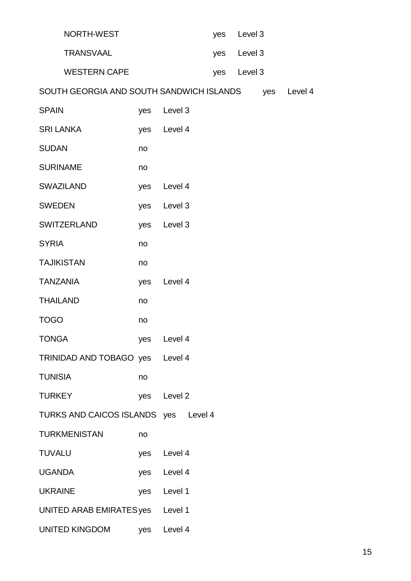| NORTH-WEST                               |     |             | yes | Level 3     |     |         |
|------------------------------------------|-----|-------------|-----|-------------|-----|---------|
| <b>TRANSVAAL</b>                         |     |             |     | yes Level 3 |     |         |
| <b>WESTERN CAPE</b>                      |     |             | yes | Level 3     |     |         |
| SOUTH GEORGIA AND SOUTH SANDWICH ISLANDS |     |             |     |             | yes | Level 4 |
| <b>SPAIN</b>                             | yes | Level 3     |     |             |     |         |
| <b>SRI LANKA</b>                         | yes | Level 4     |     |             |     |         |
| <b>SUDAN</b>                             | no  |             |     |             |     |         |
| <b>SURINAME</b>                          | no  |             |     |             |     |         |
| <b>SWAZILAND</b>                         | yes | Level 4     |     |             |     |         |
| <b>SWEDEN</b>                            | yes | Level 3     |     |             |     |         |
| <b>SWITZERLAND</b>                       | yes | Level 3     |     |             |     |         |
| <b>SYRIA</b>                             | no  |             |     |             |     |         |
| <b>TAJIKISTAN</b>                        | no  |             |     |             |     |         |
| <b>TANZANIA</b>                          | yes | Level 4     |     |             |     |         |
| <b>THAILAND</b>                          | no  |             |     |             |     |         |
| <b>TOGO</b>                              | no  |             |     |             |     |         |
| <b>TONGA</b>                             | yes | Level 4     |     |             |     |         |
| TRINIDAD AND TOBAGO yes Level 4          |     |             |     |             |     |         |
| <b>TUNISIA</b>                           | no  |             |     |             |     |         |
| <b>TURKEY</b>                            | yes | Level 2     |     |             |     |         |
| TURKS AND CAICOS ISLANDS yes Level 4     |     |             |     |             |     |         |
| <b>TURKMENISTAN</b>                      | no  |             |     |             |     |         |
| <b>TUVALU</b>                            | yes | Level 4     |     |             |     |         |
| <b>UGANDA</b>                            |     | yes Level 4 |     |             |     |         |
| <b>UKRAINE</b>                           | yes | Level 1     |     |             |     |         |
| UNITED ARAB EMIRATES yes Level 1         |     |             |     |             |     |         |
| UNITED KINGDOM                           | yes | Level 4     |     |             |     |         |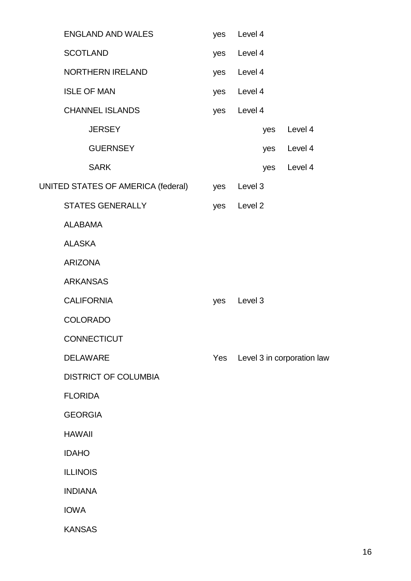| <b>ENGLAND AND WALES</b>           | yes | Level 4     |     |                            |
|------------------------------------|-----|-------------|-----|----------------------------|
| <b>SCOTLAND</b>                    | yes | Level 4     |     |                            |
| <b>NORTHERN IRELAND</b>            |     | yes Level 4 |     |                            |
| <b>ISLE OF MAN</b>                 |     | yes Level 4 |     |                            |
| <b>CHANNEL ISLANDS</b>             | yes | Level 4     |     |                            |
| <b>JERSEY</b>                      |     |             | yes | Level 4                    |
| <b>GUERNSEY</b>                    |     |             | yes | Level 4                    |
| <b>SARK</b>                        |     |             | yes | Level 4                    |
| UNITED STATES OF AMERICA (federal) | yes | Level 3     |     |                            |
| <b>STATES GENERALLY</b>            |     | yes Level 2 |     |                            |
| <b>ALABAMA</b>                     |     |             |     |                            |
| <b>ALASKA</b>                      |     |             |     |                            |
| <b>ARIZONA</b>                     |     |             |     |                            |
| <b>ARKANSAS</b>                    |     |             |     |                            |
| <b>CALIFORNIA</b>                  | yes | Level 3     |     |                            |
| <b>COLORADO</b>                    |     |             |     |                            |
| <b>CONNECTICUT</b>                 |     |             |     |                            |
| <b>DELAWARE</b>                    | Yes |             |     | Level 3 in corporation law |
| <b>DISTRICT OF COLUMBIA</b>        |     |             |     |                            |
| <b>FLORIDA</b>                     |     |             |     |                            |
| <b>GEORGIA</b>                     |     |             |     |                            |
| <b>HAWAII</b>                      |     |             |     |                            |
| <b>IDAHO</b>                       |     |             |     |                            |
| <b>ILLINOIS</b>                    |     |             |     |                            |
| <b>INDIANA</b>                     |     |             |     |                            |
| <b>IOWA</b>                        |     |             |     |                            |
| <b>KANSAS</b>                      |     |             |     |                            |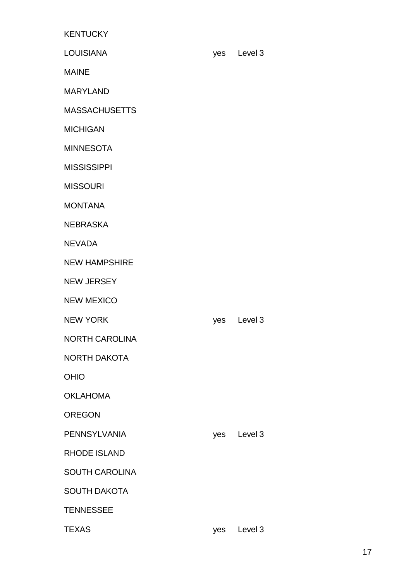**KENTUCKY** LOUISIANA yes Level 3 MAINE MARYLAND **MASSACHUSETTS** MICHIGAN MINNESOTA MISSISSIPPI MISSOURI MONTANA **NEBRASKA** NEVADA NEW HAMPSHIRE NEW JERSEY NEW MEXICO NEW YORK NEW YORK NEW YORK NORTH CAROLINA NORTH DAKOTA OHIO OKLAHOMA

OREGON

PENNSYLVANIA yes Level 3

RHODE ISLAND

SOUTH CAROLINA

SOUTH DAKOTA

**TENNESSEE** 

TEXAS yes Level 3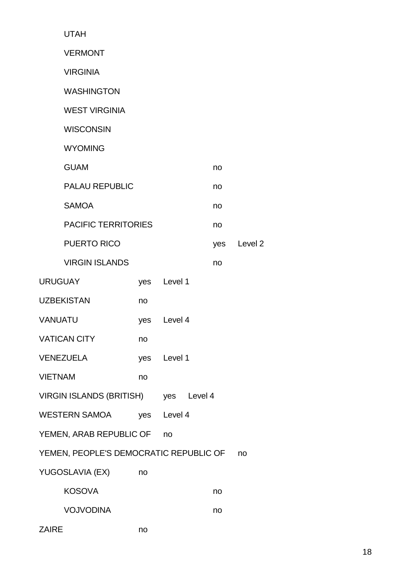| <b>UTAH</b>                            |     |             |     |         |
|----------------------------------------|-----|-------------|-----|---------|
| <b>VERMONT</b>                         |     |             |     |         |
| <b>VIRGINIA</b>                        |     |             |     |         |
| <b>WASHINGTON</b>                      |     |             |     |         |
| <b>WEST VIRGINIA</b>                   |     |             |     |         |
| <b>WISCONSIN</b>                       |     |             |     |         |
| <b>WYOMING</b>                         |     |             |     |         |
| <b>GUAM</b>                            |     |             | no  |         |
| <b>PALAU REPUBLIC</b>                  |     |             | no  |         |
| <b>SAMOA</b>                           |     |             | no  |         |
| <b>PACIFIC TERRITORIES</b>             |     |             | no  |         |
| <b>PUERTO RICO</b>                     |     |             | yes | Level 2 |
| <b>VIRGIN ISLANDS</b>                  |     |             | no  |         |
| <b>URUGUAY</b>                         | yes | Level 1     |     |         |
| <b>UZBEKISTAN</b>                      | no  |             |     |         |
| <b>VANUATU</b>                         | yes | Level 4     |     |         |
| <b>VATICAN CITY</b>                    | no  |             |     |         |
| <b>VENEZUELA</b>                       |     | yes Level 1 |     |         |
| <b>VIETNAM</b>                         | no  |             |     |         |
| VIRGIN ISLANDS (BRITISH) yes Level 4   |     |             |     |         |
| <b>WESTERN SAMOA</b>                   | yes | Level 4     |     |         |
| YEMEN, ARAB REPUBLIC OF                |     | no          |     |         |
| YEMEN, PEOPLE'S DEMOCRATIC REPUBLIC OF |     |             |     | no      |
| YUGOSLAVIA (EX)                        | no  |             |     |         |
| <b>KOSOVA</b>                          |     |             | no  |         |
| <b>VOJVODINA</b>                       |     |             | no  |         |
| <b>ZAIRE</b>                           | no  |             |     |         |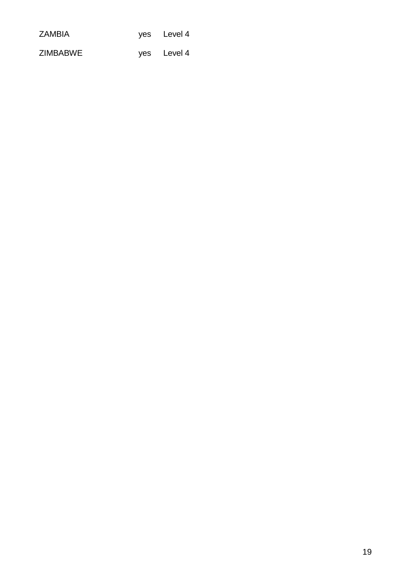| <b>ZAMBIA</b>   | yes Level 4 |
|-----------------|-------------|
| <b>ZIMBABWE</b> | yes Level 4 |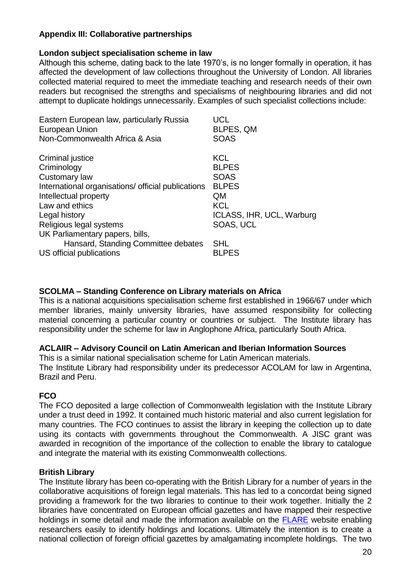# **Appendix III: Collaborative partnerships**

### **London subject specialisation scheme in law**

Although this scheme, dating back to the late 1970's, is no longer formally in operation, it has affected the development of law collections throughout the University of London. All libraries collected material required to meet the immediate teaching and research needs of their own readers but recognised the strengths and specialisms of neighbouring libraries and did not attempt to duplicate holdings unnecessarily. Examples of such specialist collections include:

| Eastern European law, particularly Russia<br>European Union<br>Non-Commonwealth Africa & Asia | UCL<br>BLPES, QM<br><b>SOAS</b> |
|-----------------------------------------------------------------------------------------------|---------------------------------|
| Criminal justice                                                                              | <b>KCL</b>                      |
| Criminology                                                                                   | <b>BLPES</b>                    |
| Customary law                                                                                 | <b>SOAS</b>                     |
| International organisations/ official publications                                            | <b>BLPES</b>                    |
| Intellectual property                                                                         | <b>QM</b>                       |
| Law and ethics                                                                                | <b>KCL</b>                      |
| Legal history                                                                                 | ICLASS, IHR, UCL, Warburg       |
| Religious legal systems                                                                       | <b>SOAS, UCL</b>                |
| UK Parliamentary papers, bills,                                                               |                                 |
| Hansard, Standing Committee debates                                                           | <b>SHL</b>                      |
| US official publications                                                                      | <b>BLPES</b>                    |
|                                                                                               |                                 |

#### **SCOLMA – Standing Conference on Library materials on Africa**

This is a national acquisitions specialisation scheme first established in 1966/67 under which member libraries, mainly university libraries, have assumed responsibility for collecting material concerning a particular country or countries or subject. The Institute library has responsibility under the scheme for law in Anglophone Africa, particularly South Africa.

#### **ACLAIIR – Advisory Council on Latin American and Iberian Information Sources**

This is a similar national specialisation scheme for Latin American materials. The Institute Library had responsibility under its predecessor ACOLAM for law in Argentina, Brazil and Peru.

# **FCO**

The FCO deposited a large collection of Commonwealth legislation with the Institute Library under a trust deed in 1992. It contained much historic material and also current legislation for many countries. The FCO continues to assist the library in keeping the collection up to date using its contacts with governments throughout the Commonwealth. A JISC grant was awarded in recognition of the importance of the collection to enable the library to catalogue and integrate the material with its existing Commonwealth collections.

# **British Library**

The Institute library has been co-operating with the British Library for a number of years in the collaborative acquisitions of foreign legal materials. This has led to a concordat being signed providing a framework for the two libraries to continue to their work together. Initially the 2 libraries have concentrated on European official gazettes and have mapped their respective holdings in some detail and made the information available on the [FLARE](http://ials.sas.ac.uk/flare/flare.htm) website enabling researchers easily to identify holdings and locations. Ultimately the intention is to create a national collection of foreign official gazettes by amalgamating incomplete holdings. The two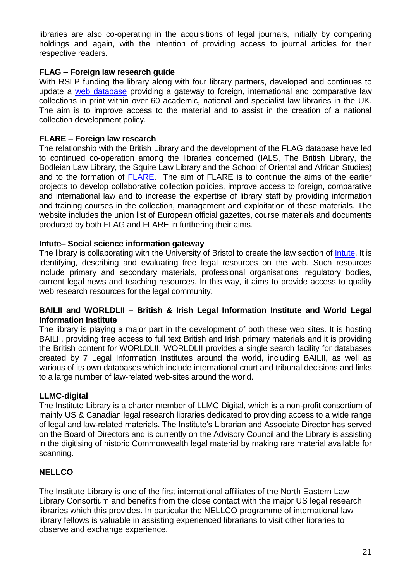libraries are also co-operating in the acquisitions of legal journals, initially by comparing holdings and again, with the intention of providing access to journal articles for their respective readers.

### **FLAG – Foreign law research guide**

With RSLP funding the library along with four library partners, developed and continues to update a [web database](http://ials.sas.ac.uk/flag.htm) providing a gateway to foreign, international and comparative law collections in print within over 60 academic, national and specialist law libraries in the UK. The aim is to improve access to the material and to assist in the creation of a national collection development policy.

#### **FLARE – Foreign law research**

The relationship with the British Library and the development of the FLAG database have led to continued co-operation among the libraries concerned (IALS, The British Library, the Bodleian Law Library, the Squire Law Library and the School of Oriental and African Studies) and to the formation of [FLARE.](http://ials.sas.ac.uk/flare/flare.htm) The aim of FLARE is to continue the aims of the earlier projects to develop collaborative collection policies, improve access to foreign, comparative and international law and to increase the expertise of library staff by providing information and training courses in the collection, management and exploitation of these materials. The website includes the union list of European official gazettes, course materials and documents produced by both FLAG and FLARE in furthering their aims.

#### **Intute– Social science information gateway**

The library is collaborating with the University of Bristol to create the law section of [Intute.](http://www.intute.ac.uk/socialsciences/law/) It is identifying, describing and evaluating free legal resources on the web. Such resources include primary and secondary materials, professional organisations, regulatory bodies, current legal news and teaching resources. In this way, it aims to provide access to quality web research resources for the legal community.

### **BAILII and WORLDLII – British & Irish Legal Information Institute and World Legal Information Institute**

The library is playing a major part in the development of both these web sites. It is hosting BAILII, providing free access to full text British and Irish primary materials and it is providing the British content for WORLDLII. WORLDLII provides a single search facility for databases created by 7 Legal Information Institutes around the world, including BAILII, as well as various of its own databases which include international court and tribunal decisions and links to a large number of law-related web-sites around the world.

#### **LLMC-digital**

The Institute Library is a charter member of LLMC Digital, which is a non-profit consortium of mainly US & Canadian legal research libraries dedicated to providing access to a wide range of legal and law-related materials. The Institute's Librarian and Associate Director has served on the Board of Directors and is currently on the Advisory Council and the Library is assisting in the digitising of historic Commonwealth legal material by making rare material available for scanning.

#### **NELLCO**

The Institute Library is one of the first international affiliates of the North Eastern Law Library Consortium and benefits from the close contact with the major US legal research libraries which this provides. In particular the NELLCO programme of international law library fellows is valuable in assisting experienced librarians to visit other libraries to observe and exchange experience.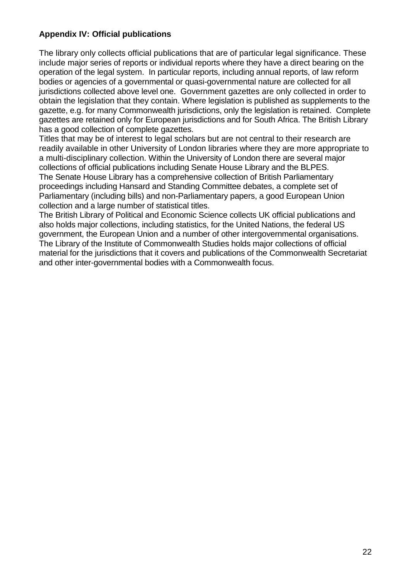# **Appendix IV: Official publications**

The library only collects official publications that are of particular legal significance. These include major series of reports or individual reports where they have a direct bearing on the operation of the legal system. In particular reports, including annual reports, of law reform bodies or agencies of a governmental or quasi-governmental nature are collected for all jurisdictions collected above level one. Government gazettes are only collected in order to obtain the legislation that they contain. Where legislation is published as supplements to the gazette, e.g. for many Commonwealth jurisdictions, only the legislation is retained. Complete gazettes are retained only for European jurisdictions and for South Africa. The British Library has a good collection of complete gazettes.

Titles that may be of interest to legal scholars but are not central to their research are readily available in other University of London libraries where they are more appropriate to a multi-disciplinary collection. Within the University of London there are several major collections of official publications including Senate House Library and the BLPES. The Senate House Library has a comprehensive collection of British Parliamentary proceedings including Hansard and Standing Committee debates, a complete set of Parliamentary (including bills) and non-Parliamentary papers, a good European Union collection and a large number of statistical titles.

The British Library of Political and Economic Science collects UK official publications and also holds major collections, including statistics, for the United Nations, the federal US government, the European Union and a number of other intergovernmental organisations. The Library of the Institute of Commonwealth Studies holds major collections of official material for the jurisdictions that it covers and publications of the Commonwealth Secretariat and other inter-governmental bodies with a Commonwealth focus.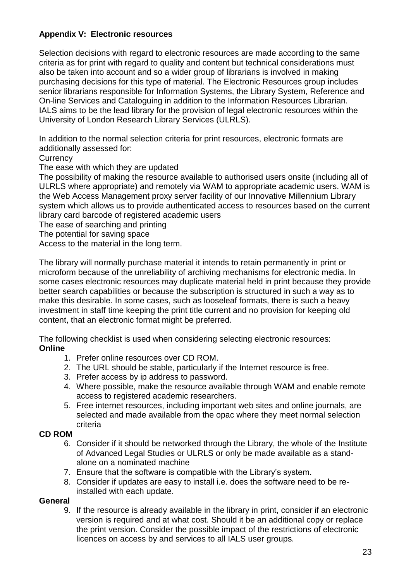# **Appendix V: Electronic resources**

Selection decisions with regard to electronic resources are made according to the same criteria as for print with regard to quality and content but technical considerations must also be taken into account and so a wider group of librarians is involved in making purchasing decisions for this type of material. The Electronic Resources group includes senior librarians responsible for Information Systems, the Library System, Reference and On-line Services and Cataloguing in addition to the Information Resources Librarian. IALS aims to be the lead library for the provision of legal electronic resources within the University of London Research Library Services (ULRLS).

In addition to the normal selection criteria for print resources, electronic formats are additionally assessed for:

**Currency** 

The ease with which they are updated

The possibility of making the resource available to authorised users onsite (including all of ULRLS where appropriate) and remotely via WAM to appropriate academic users. WAM is the Web Access Management proxy server facility of our Innovative Millennium Library system which allows us to provide authenticated access to resources based on the current library card barcode of registered academic users

The ease of searching and printing

The potential for saving space

Access to the material in the long term.

The library will normally purchase material it intends to retain permanently in print or microform because of the unreliability of archiving mechanisms for electronic media. In some cases electronic resources may duplicate material held in print because they provide better search capabilities or because the subscription is structured in such a way as to make this desirable. In some cases, such as looseleaf formats, there is such a heavy investment in staff time keeping the print title current and no provision for keeping old content, that an electronic format might be preferred.

The following checklist is used when considering selecting electronic resources: **Online**

- 1. Prefer online resources over CD ROM.
- 2. The URL should be stable, particularly if the Internet resource is free.
- 3. Prefer access by ip address to password.
- 4. Where possible, make the resource available through WAM and enable remote access to registered academic researchers.
- 5. Free internet resources, including important web sites and online journals, are selected and made available from the opac where they meet normal selection criteria

#### **CD ROM**

- 6. Consider if it should be networked through the Library, the whole of the Institute of Advanced Legal Studies or ULRLS or only be made available as a standalone on a nominated machine
- 7. Ensure that the software is compatible with the Library's system.
- 8. Consider if updates are easy to install i.e. does the software need to be reinstalled with each update.

#### **General**

9. If the resource is already available in the library in print, consider if an electronic version is required and at what cost. Should it be an additional copy or replace the print version. Consider the possible impact of the restrictions of electronic licences on access by and services to all IALS user groups.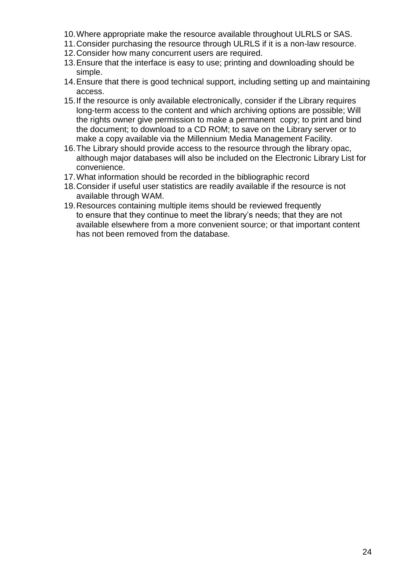- 10.Where appropriate make the resource available throughout ULRLS or SAS.
- 11.Consider purchasing the resource through ULRLS if it is a non-law resource.
- 12.Consider how many concurrent users are required.
- 13.Ensure that the interface is easy to use; printing and downloading should be simple.
- 14.Ensure that there is good technical support, including setting up and maintaining access.
- 15.If the resource is only available electronically, consider if the Library requires long-term access to the content and which archiving options are possible; Will the rights owner give permission to make a permanent copy; to print and bind the document; to download to a CD ROM; to save on the Library server or to make a copy available via the Millennium Media Management Facility.
- 16.The Library should provide access to the resource through the library opac, although major databases will also be included on the Electronic Library List for convenience.
- 17.What information should be recorded in the bibliographic record
- 18.Consider if useful user statistics are readily available if the resource is not available through WAM.
- 19.Resources containing multiple items should be reviewed frequently to ensure that they continue to meet the library's needs; that they are not available elsewhere from a more convenient source; or that important content has not been removed from the database.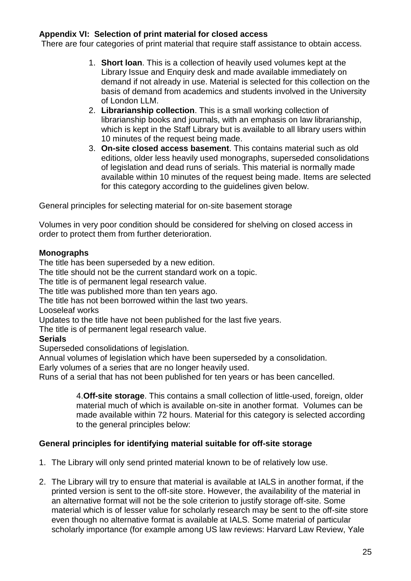### **Appendix VI: Selection of print material for closed access**

There are four categories of print material that require staff assistance to obtain access.

- 1. **Short loan**. This is a collection of heavily used volumes kept at the Library Issue and Enquiry desk and made available immediately on demand if not already in use. Material is selected for this collection on the basis of demand from academics and students involved in the University of London LLM.
- 2. **Librarianship collection**. This is a small working collection of librarianship books and journals, with an emphasis on law librarianship, which is kept in the Staff Library but is available to all library users within 10 minutes of the request being made.
- 3. **On-site closed access basement**. This contains material such as old editions, older less heavily used monographs, superseded consolidations of legislation and dead runs of serials. This material is normally made available within 10 minutes of the request being made. Items are selected for this category according to the guidelines given below.

General principles for selecting material for on-site basement storage

Volumes in very poor condition should be considered for shelving on closed access in order to protect them from further deterioration.

### **Monographs**

The title has been superseded by a new edition.

The title should not be the current standard work on a topic.

The title is of permanent legal research value.

The title was published more than ten years ago.

The title has not been borrowed within the last two years.

Looseleaf works

Updates to the title have not been published for the last five years.

The title is of permanent legal research value.

#### **Serials**

Superseded consolidations of legislation.

Annual volumes of legislation which have been superseded by a consolidation.

Early volumes of a series that are no longer heavily used.

Runs of a serial that has not been published for ten years or has been cancelled.

4.**Off-site storage**. This contains a small collection of little-used, foreign, older material much of which is available on-site in another format. Volumes can be made available within 72 hours. Material for this category is selected according to the general principles below:

#### **General principles for identifying material suitable for off-site storage**

- 1. The Library will only send printed material known to be of relatively low use.
- 2. The Library will try to ensure that material is available at IALS in another format, if the printed version is sent to the off-site store. However, the availability of the material in an alternative format will not be the sole criterion to justify storage off-site. Some material which is of lesser value for scholarly research may be sent to the off-site store even though no alternative format is available at IALS. Some material of particular scholarly importance (for example among US law reviews: Harvard Law Review, Yale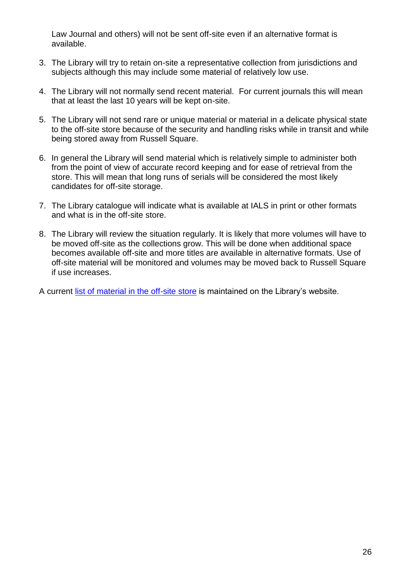Law Journal and others) will not be sent off-site even if an alternative format is available.

- 3. The Library will try to retain on-site a representative collection from jurisdictions and subjects although this may include some material of relatively low use.
- 4. The Library will not normally send recent material. For current journals this will mean that at least the last 10 years will be kept on-site.
- 5. The Library will not send rare or unique material or material in a delicate physical state to the off-site store because of the security and handling risks while in transit and while being stored away from Russell Square.
- 6. In general the Library will send material which is relatively simple to administer both from the point of view of accurate record keeping and for ease of retrieval from the store. This will mean that long runs of serials will be considered the most likely candidates for off-site storage.
- 7. The Library catalogue will indicate what is available at IALS in print or other formats and what is in the off-site store.
- 8. The Library will review the situation regularly. It is likely that more volumes will have to be moved off-site as the collections grow. This will be done when additional space becomes available off-site and more titles are available in alternative formats. Use of off-site material will be monitored and volumes may be moved back to Russell Square if use increases.

A current [list of material in the off-site store](http://ials.sas.ac.uk/library/offsite_titles.htm) is maintained on the Library's website.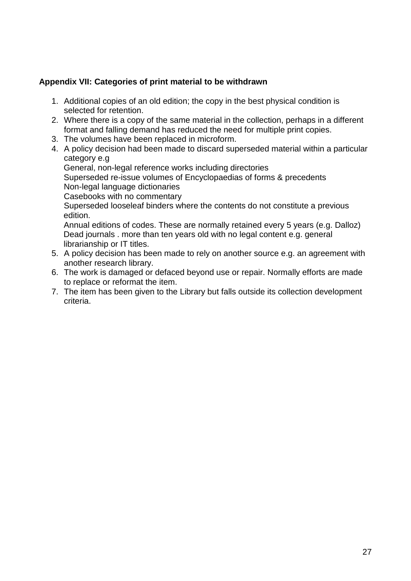# **Appendix VII: Categories of print material to be withdrawn**

- 1. Additional copies of an old edition; the copy in the best physical condition is selected for retention.
- 2. Where there is a copy of the same material in the collection, perhaps in a different format and falling demand has reduced the need for multiple print copies.
- 3. The volumes have been replaced in microform.
- 4. A policy decision had been made to discard superseded material within a particular category e.g General, non-legal reference works including directories Superseded re-issue volumes of Encyclopaedias of forms & precedents Non-legal language dictionaries Casebooks with no commentary Superseded looseleaf binders where the contents do not constitute a previous edition. Annual editions of codes. These are normally retained every 5 years (e.g. Dalloz) Dead journals . more than ten years old with no legal content e.g. general librarianship or IT titles.
- 5. A policy decision has been made to rely on another source e.g. an agreement with another research library.
- 6. The work is damaged or defaced beyond use or repair. Normally efforts are made to replace or reformat the item.
- 7. The item has been given to the Library but falls outside its collection development criteria.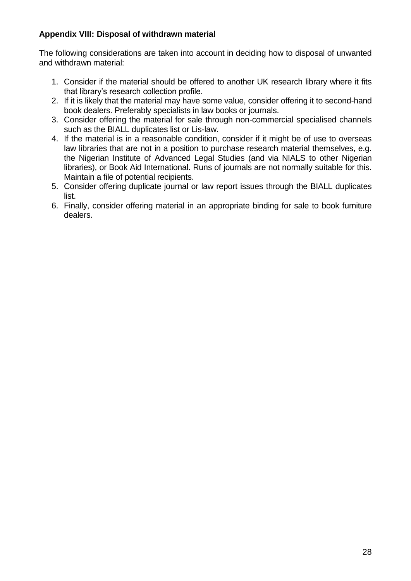# **Appendix VIII: Disposal of withdrawn material**

The following considerations are taken into account in deciding how to disposal of unwanted and withdrawn material:

- 1. Consider if the material should be offered to another UK research library where it fits that library's research collection profile.
- 2. If it is likely that the material may have some value, consider offering it to second-hand book dealers. Preferably specialists in law books or journals.
- 3. Consider offering the material for sale through non-commercial specialised channels such as the BIALL duplicates list or Lis-law.
- 4. If the material is in a reasonable condition, consider if it might be of use to overseas law libraries that are not in a position to purchase research material themselves, e.g. the Nigerian Institute of Advanced Legal Studies (and via NIALS to other Nigerian libraries), or Book Aid International. Runs of journals are not normally suitable for this. Maintain a file of potential recipients.
- 5. Consider offering duplicate journal or law report issues through the BIALL duplicates list.
- 6. Finally, consider offering material in an appropriate binding for sale to book furniture dealers.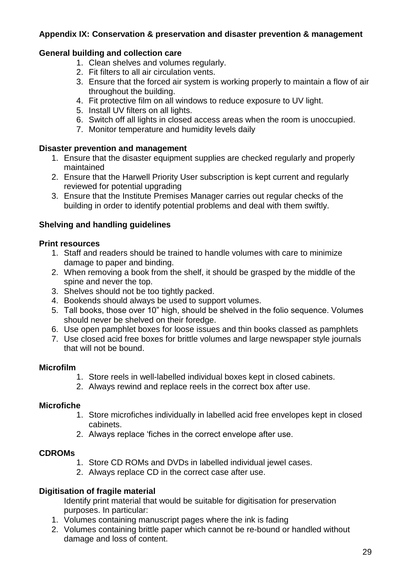# **Appendix IX: Conservation & preservation and disaster prevention & management**

### **General building and collection care**

- 1. Clean shelves and volumes regularly.
- 2. Fit filters to all air circulation vents.
- 3. Ensure that the forced air system is working properly to maintain a flow of air throughout the building.
- 4. Fit protective film on all windows to reduce exposure to UV light.
- 5. Install UV filters on all lights.
- 6. Switch off all lights in closed access areas when the room is unoccupied.
- 7. Monitor temperature and humidity levels daily

### **Disaster prevention and management**

- 1. Ensure that the disaster equipment supplies are checked regularly and properly maintained
- 2. Ensure that the Harwell Priority User subscription is kept current and regularly reviewed for potential upgrading
- 3. Ensure that the Institute Premises Manager carries out regular checks of the building in order to identify potential problems and deal with them swiftly.

# **Shelving and handling guidelines**

#### **Print resources**

- 1. Staff and readers should be trained to handle volumes with care to minimize damage to paper and binding.
- 2. When removing a book from the shelf, it should be grasped by the middle of the spine and never the top.
- 3. Shelves should not be too tightly packed.
- 4. Bookends should always be used to support volumes.
- 5. Tall books, those over 10" high, should be shelved in the folio sequence. Volumes should never be shelved on their foredge.
- 6. Use open pamphlet boxes for loose issues and thin books classed as pamphlets
- 7. Use closed acid free boxes for brittle volumes and large newspaper style journals that will not be bound.

#### **Microfilm**

- 1. Store reels in well-labelled individual boxes kept in closed cabinets.
- 2. Always rewind and replace reels in the correct box after use.

# **Microfiche**

- 1. Store microfiches individually in labelled acid free envelopes kept in closed cabinets.
- 2. Always replace 'fiches in the correct envelope after use.

#### **CDROMs**

- 1. Store CD ROMs and DVDs in labelled individual jewel cases.
- 2. Always replace CD in the correct case after use.

# **Digitisation of fragile material**

Identify print material that would be suitable for digitisation for preservation purposes. In particular:

- 1. Volumes containing manuscript pages where the ink is fading
- 2. Volumes containing brittle paper which cannot be re-bound or handled without damage and loss of content.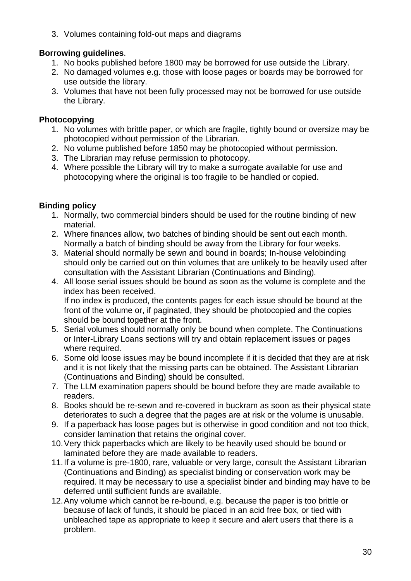3. Volumes containing fold-out maps and diagrams

# **Borrowing guidelines**.

- 1. No books published before 1800 may be borrowed for use outside the Library.
- 2. No damaged volumes e.g. those with loose pages or boards may be borrowed for use outside the library.
- 3. Volumes that have not been fully processed may not be borrowed for use outside the Library.

# **Photocopying**

- 1. No volumes with brittle paper, or which are fragile, tightly bound or oversize may be photocopied without permission of the Librarian.
- 2. No volume published before 1850 may be photocopied without permission.
- 3. The Librarian may refuse permission to photocopy.
- 4. Where possible the Library will try to make a surrogate available for use and photocopying where the original is too fragile to be handled or copied.

# **Binding policy**

- 1. Normally, two commercial binders should be used for the routine binding of new material.
- 2. Where finances allow, two batches of binding should be sent out each month. Normally a batch of binding should be away from the Library for four weeks.
- 3. Material should normally be sewn and bound in boards; In-house velobinding should only be carried out on thin volumes that are unlikely to be heavily used after consultation with the Assistant Librarian (Continuations and Binding).
- 4. All loose serial issues should be bound as soon as the volume is complete and the index has been received. If no index is produced, the contents pages for each issue should be bound at the

front of the volume or, if paginated, they should be photocopied and the copies should be bound together at the front.

- 5. Serial volumes should normally only be bound when complete. The Continuations or Inter-Library Loans sections will try and obtain replacement issues or pages where required.
- 6. Some old loose issues may be bound incomplete if it is decided that they are at risk and it is not likely that the missing parts can be obtained. The Assistant Librarian (Continuations and Binding) should be consulted.
- 7. The LLM examination papers should be bound before they are made available to readers.
- 8. Books should be re-sewn and re-covered in buckram as soon as their physical state deteriorates to such a degree that the pages are at risk or the volume is unusable.
- 9. If a paperback has loose pages but is otherwise in good condition and not too thick, consider lamination that retains the original cover.
- 10.Very thick paperbacks which are likely to be heavily used should be bound or laminated before they are made available to readers.
- 11.If a volume is pre-1800, rare, valuable or very large, consult the Assistant Librarian (Continuations and Binding) as specialist binding or conservation work may be required. It may be necessary to use a specialist binder and binding may have to be deferred until sufficient funds are available.
- 12.Any volume which cannot be re-bound, e.g. because the paper is too brittle or because of lack of funds, it should be placed in an acid free box, or tied with unbleached tape as appropriate to keep it secure and alert users that there is a problem.